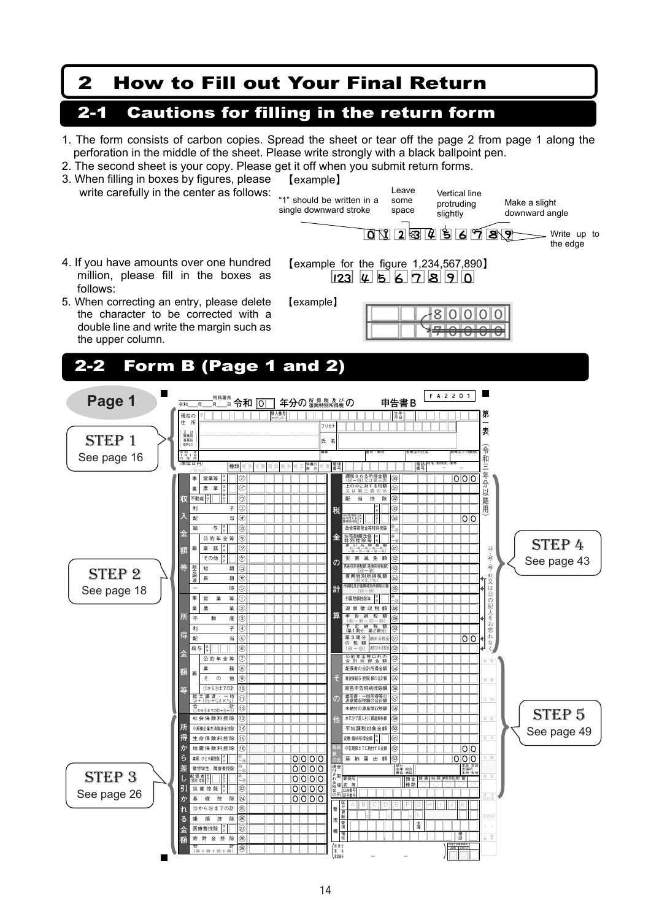## 2 How to Fill out Your Final Return

## 2-1 Cautions for filling in the return form

- 1. The form consists of carbon copies. Spread the sheet or tear off the page 2 from page 1 along the perforation in the middle of the sheet. Please write strongly with a black ballpoint pen.
- 2. The second sheet is your copy. Please get it off when you submit return forms.



電話番号

- -